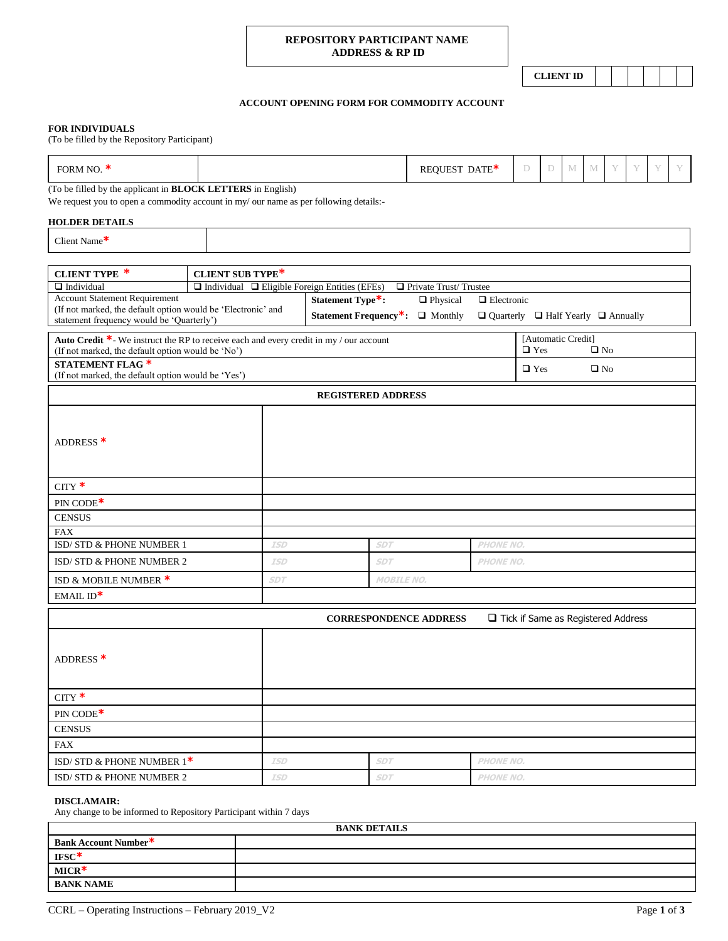## **REPOSITORY PARTICIPANT NAME ADDRESS & RP ID**

**CLIENT ID**

# **ACCOUNT OPENING FORM FOR COMMODITY ACCOUNT**

#### **FOR INDIVIDUALS**

(To be filled by the Repository Participant)

| ORM NO.<br>DATE <sup>*</sup><br>÷У.,<br>- 1-1<br>. |
|----------------------------------------------------|
|----------------------------------------------------|

(To be filled by the applicant in **BLOCK LETTERS** in English)

We request you to open a commodity account in my/ our name as per following details:-

# **HOLDER DETAILS**

|  | Client Name $*$ |
|--|-----------------|
|--|-----------------|

| <b>CLIENT TYPE *</b>                                                                                 | <b>CLIENT SUB TYPE*</b>                                                            |                               |                   |                  |                                                     |                                    |
|------------------------------------------------------------------------------------------------------|------------------------------------------------------------------------------------|-------------------------------|-------------------|------------------|-----------------------------------------------------|------------------------------------|
| $\Box$ Individual                                                                                    | Private Trust/Trustee<br>$\Box$ Individual $\Box$ Eligible Foreign Entities (EFEs) |                               |                   |                  |                                                     |                                    |
| <b>Account Statement Requirement</b><br>(If not marked, the default option would be 'Electronic' and | Statement Type*:                                                                   | <b>D</b> Physical             | $\Box$ Electronic |                  |                                                     |                                    |
| statement frequency would be 'Quarterly')                                                            | Statement Frequency*:                                                              | $\Box$ Monthly                |                   |                  | $\Box$ Quarterly $\Box$ Half Yearly $\Box$ Annually |                                    |
| <b>Auto Credit *-</b> We instruct the RP to receive each and every credit in my / our account        |                                                                                    |                               |                   |                  | [Automatic Credit]                                  |                                    |
| (If not marked, the default option would be 'No')                                                    |                                                                                    |                               |                   | $\Box$ Yes       | $\Box$ No                                           |                                    |
| <b>STATEMENT FLAG *</b><br>(If not marked, the default option would be 'Yes')                        |                                                                                    |                               |                   |                  | $\Box$ Yes                                          | $\square$ No                       |
|                                                                                                      |                                                                                    | <b>REGISTERED ADDRESS</b>     |                   |                  |                                                     |                                    |
|                                                                                                      |                                                                                    |                               |                   |                  |                                                     |                                    |
|                                                                                                      |                                                                                    |                               |                   |                  |                                                     |                                    |
| ADDRESS <sup>*</sup>                                                                                 |                                                                                    |                               |                   |                  |                                                     |                                    |
|                                                                                                      |                                                                                    |                               |                   |                  |                                                     |                                    |
|                                                                                                      |                                                                                    |                               |                   |                  |                                                     |                                    |
| $CITY$ *                                                                                             |                                                                                    |                               |                   |                  |                                                     |                                    |
| $PIN CODE*$                                                                                          |                                                                                    |                               |                   |                  |                                                     |                                    |
| <b>CENSUS</b>                                                                                        |                                                                                    |                               |                   |                  |                                                     |                                    |
| <b>FAX</b>                                                                                           |                                                                                    |                               |                   |                  |                                                     |                                    |
| ISD/ STD & PHONE NUMBER 1                                                                            | <b>ISD</b>                                                                         | <b>SDT</b>                    |                   | <b>PHONE NO.</b> |                                                     |                                    |
| ISD/STD & PHONE NUMBER 2                                                                             | <b>ISD</b>                                                                         | <b>SDT</b>                    |                   | <b>PHONE NO.</b> |                                                     |                                    |
| ISD & MOBILE NUMBER *                                                                                | <b>SDT</b>                                                                         | <b>MOBILE NO.</b>             |                   |                  |                                                     |                                    |
| $EMAILID*$                                                                                           |                                                                                    |                               |                   |                  |                                                     |                                    |
|                                                                                                      |                                                                                    | <b>CORRESPONDENCE ADDRESS</b> |                   |                  |                                                     | Tick if Same as Registered Address |
|                                                                                                      |                                                                                    |                               |                   |                  |                                                     |                                    |
|                                                                                                      |                                                                                    |                               |                   |                  |                                                     |                                    |
| ADDRESS <sup>*</sup>                                                                                 |                                                                                    |                               |                   |                  |                                                     |                                    |
|                                                                                                      |                                                                                    |                               |                   |                  |                                                     |                                    |
| $CITY$ *                                                                                             |                                                                                    |                               |                   |                  |                                                     |                                    |
| $\text{PIN } \text{CODE*}$                                                                           |                                                                                    |                               |                   |                  |                                                     |                                    |
|                                                                                                      |                                                                                    |                               |                   |                  |                                                     |                                    |

| <b>CENSUS</b>                |            |            |                  |
|------------------------------|------------|------------|------------------|
| FAX                          |            |            |                  |
| ISD/STD & PHONE NUMBER $1^*$ | <b>ISD</b> | <b>SDT</b> | <b>PHONE NO.</b> |
| ISD/STD & PHONE NUMBER 2     | <b>ISD</b> | <b>SDT</b> | <b>PHONE NO.</b> |

## **DISCLAMAIR:**

Any change to be informed to Repository Participant within 7 days

| <b>BANK DETAILS</b>  |  |  |
|----------------------|--|--|
| Bank Account Number* |  |  |
| $IFSC*$              |  |  |
| $MICR*$              |  |  |
| <b>BANK NAME</b>     |  |  |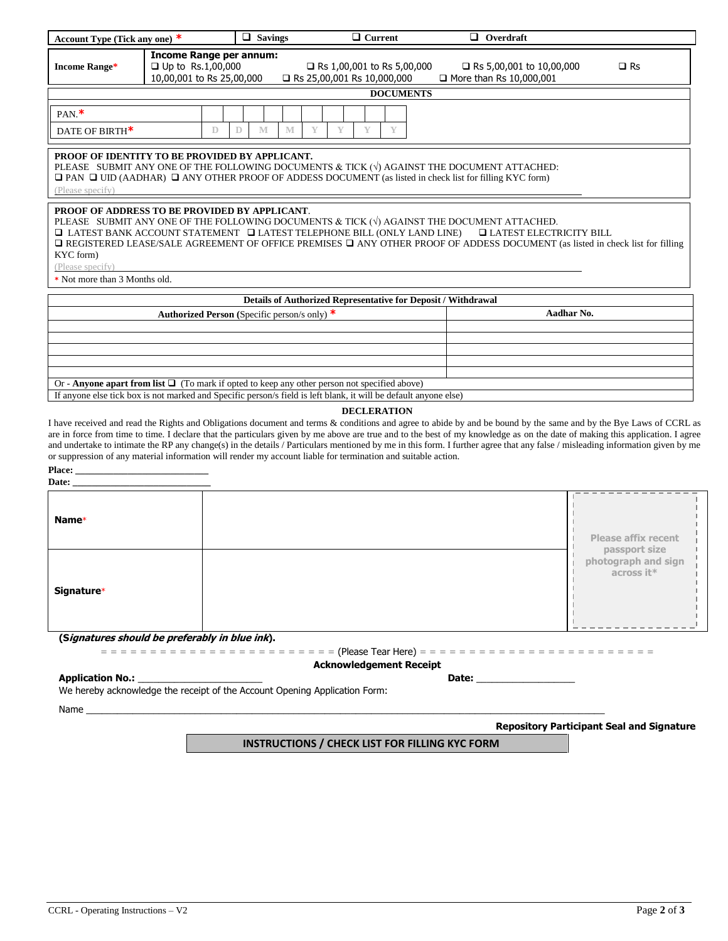| Account Type (Tick any one) *                                                                                          |                                                                                         | $\Box$ Savings                                        | $\Box$ Current                                                                                                                                                                                                                   | $\Box$ Overdraft                                                                                                                                                                                                                                                                                                                                                                                                                                                                                                                   |                                                    |
|------------------------------------------------------------------------------------------------------------------------|-----------------------------------------------------------------------------------------|-------------------------------------------------------|----------------------------------------------------------------------------------------------------------------------------------------------------------------------------------------------------------------------------------|------------------------------------------------------------------------------------------------------------------------------------------------------------------------------------------------------------------------------------------------------------------------------------------------------------------------------------------------------------------------------------------------------------------------------------------------------------------------------------------------------------------------------------|----------------------------------------------------|
| <b>Income Range*</b>                                                                                                   | <b>Income Range per annum:</b><br>$\Box$ Up to Rs.1,00,000<br>10,00,001 to Rs 25,00,000 |                                                       | □ Rs 1,00,001 to Rs 5,00,000<br>Rs 25,00,001 Rs 10,000,000                                                                                                                                                                       | □ Rs 5,00,001 to 10,00,000<br>$\Box$ More than Rs 10,000,001                                                                                                                                                                                                                                                                                                                                                                                                                                                                       | $\square$ Rs                                       |
|                                                                                                                        |                                                                                         |                                                       | <b>DOCUMENTS</b>                                                                                                                                                                                                                 |                                                                                                                                                                                                                                                                                                                                                                                                                                                                                                                                    |                                                    |
| $PAN.*$                                                                                                                |                                                                                         |                                                       |                                                                                                                                                                                                                                  |                                                                                                                                                                                                                                                                                                                                                                                                                                                                                                                                    |                                                    |
| DATE OF BIRTH <sup>*</sup>                                                                                             | D                                                                                       | D<br>M<br>M                                           | Y<br>Y<br>Y<br>Y                                                                                                                                                                                                                 |                                                                                                                                                                                                                                                                                                                                                                                                                                                                                                                                    |                                                    |
| PROOF OF IDENTITY TO BE PROVIDED BY APPLICANT.<br>(Please specify)                                                     |                                                                                         |                                                       | PLEASE SUBMIT ANY ONE OF THE FOLLOWING DOCUMENTS & TICK ( $\sqrt{ }$ ) AGAINST THE DOCUMENT ATTACHED:<br>$\Box$ PAN $\Box$ UID (AADHAR) $\Box$ ANY OTHER PROOF OF ADDESS DOCUMENT (as listed in check list for filling KYC form) |                                                                                                                                                                                                                                                                                                                                                                                                                                                                                                                                    |                                                    |
| <b>PROOF OF ADDRESS TO BE PROVIDED BY APPLICANT.</b><br>KYC form)<br>(Please specify)<br>* Not more than 3 Months old. |                                                                                         |                                                       | PLEASE SUBMIT ANY ONE OF THE FOLLOWING DOCUMENTS & TICK $(\sqrt{)}$ AGAINST THE DOCUMENT ATTACHED.<br>$\hfill\Box$ LATEST BANK ACCOUNT STATEMENT $\hfill\Box$ LATEST TELEPHONE BILL (ONLY LAND LINE)                             | <b>LATEST ELECTRICITY BILL</b><br><b>Q REGISTERED LEASE/SALE AGREEMENT OF OFFICE PREMISES Q ANY OTHER PROOF OF ADDESS DOCUMENT</b> (as listed in check list for filling                                                                                                                                                                                                                                                                                                                                                            |                                                    |
|                                                                                                                        |                                                                                         |                                                       | Details of Authorized Representative for Deposit / Withdrawal                                                                                                                                                                    |                                                                                                                                                                                                                                                                                                                                                                                                                                                                                                                                    |                                                    |
|                                                                                                                        |                                                                                         | <b>Authorized Person</b> (Specific person/s only) $*$ |                                                                                                                                                                                                                                  | Aadhar No.                                                                                                                                                                                                                                                                                                                                                                                                                                                                                                                         |                                                    |
|                                                                                                                        |                                                                                         |                                                       |                                                                                                                                                                                                                                  |                                                                                                                                                                                                                                                                                                                                                                                                                                                                                                                                    |                                                    |
|                                                                                                                        |                                                                                         |                                                       |                                                                                                                                                                                                                                  |                                                                                                                                                                                                                                                                                                                                                                                                                                                                                                                                    |                                                    |
|                                                                                                                        |                                                                                         |                                                       |                                                                                                                                                                                                                                  |                                                                                                                                                                                                                                                                                                                                                                                                                                                                                                                                    |                                                    |
|                                                                                                                        |                                                                                         |                                                       |                                                                                                                                                                                                                                  |                                                                                                                                                                                                                                                                                                                                                                                                                                                                                                                                    |                                                    |
|                                                                                                                        |                                                                                         |                                                       | Or - Anyone apart from list $\Box$ (To mark if opted to keep any other person not specified above)<br>If anyone else tick box is not marked and Specific person/s field is left blank, it will be default anyone else)           |                                                                                                                                                                                                                                                                                                                                                                                                                                                                                                                                    |                                                    |
|                                                                                                                        |                                                                                         |                                                       | <b>DECLERATION</b><br>or suppression of any material information will render my account liable for termination and suitable action.                                                                                              | I have received and read the Rights and Obligations document and terms & conditions and agree to abide by and be bound by the same and by the Bye Laws of CCRL as<br>are in force from time to time. I declare that the particulars given by me above are true and to the best of my knowledge as on the date of making this application. I agree<br>and undertake to intimate the RP any change(s) in the details / Particulars mentioned by me in this form. I further agree that any false / misleading information given by me |                                                    |
| Date: $\_\_$                                                                                                           |                                                                                         |                                                       |                                                                                                                                                                                                                                  |                                                                                                                                                                                                                                                                                                                                                                                                                                                                                                                                    |                                                    |
| Name*                                                                                                                  |                                                                                         |                                                       |                                                                                                                                                                                                                                  |                                                                                                                                                                                                                                                                                                                                                                                                                                                                                                                                    | <b>Please affix recent</b>                         |
| Signature*                                                                                                             |                                                                                         |                                                       |                                                                                                                                                                                                                                  |                                                                                                                                                                                                                                                                                                                                                                                                                                                                                                                                    | passport size<br>photograph and sign<br>across it* |
| (Signatures should be preferably in blue ink).                                                                         |                                                                                         |                                                       | <b>Acknowledgement Receipt</b>                                                                                                                                                                                                   |                                                                                                                                                                                                                                                                                                                                                                                                                                                                                                                                    |                                                    |
| <b>Application No.:</b><br>We hereby acknowledge the receipt of the Account Opening Application Form:                  |                                                                                         |                                                       |                                                                                                                                                                                                                                  | Date: _____________________                                                                                                                                                                                                                                                                                                                                                                                                                                                                                                        |                                                    |
|                                                                                                                        |                                                                                         |                                                       |                                                                                                                                                                                                                                  |                                                                                                                                                                                                                                                                                                                                                                                                                                                                                                                                    |                                                    |
|                                                                                                                        |                                                                                         |                                                       |                                                                                                                                                                                                                                  |                                                                                                                                                                                                                                                                                                                                                                                                                                                                                                                                    | <b>Repository Participant Seal and Signature</b>   |
|                                                                                                                        |                                                                                         |                                                       | <b>INSTRUCTIONS / CHECK LIST FOR FILLING KYC FORM</b>                                                                                                                                                                            |                                                                                                                                                                                                                                                                                                                                                                                                                                                                                                                                    |                                                    |
|                                                                                                                        |                                                                                         |                                                       |                                                                                                                                                                                                                                  |                                                                                                                                                                                                                                                                                                                                                                                                                                                                                                                                    |                                                    |